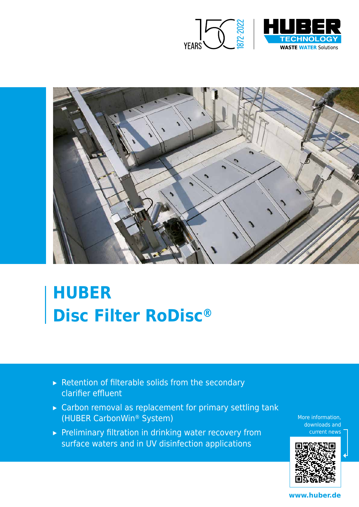



# **HUBER Disc Filter RoDisc®**

- ▸ Retention of filterable solids from the secondary clarifier effluent
- ▸ Carbon removal as replacement for primary settling tank (HUBER CarbonWin® System)
- ▶ Preliminary filtration in drinking water recovery from surface waters and in UV disinfection applications

More information, downloads and current news



**www.huber.de**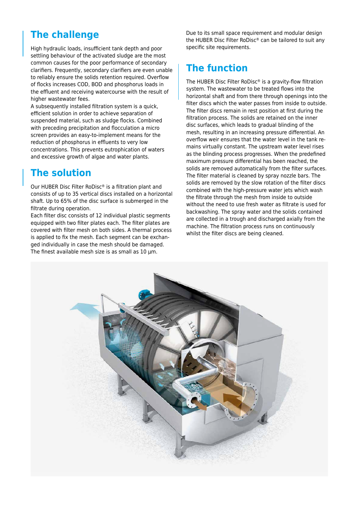### **The challenge**

High hydraulic loads, insufficient tank depth and poor settling behaviour of the activated sludge are the most common causes for the poor performance of secondary clarifiers. Frequently, secondary clarifiers are even unable to reliably ensure the solids retention required. Overflow of flocks increases COD, BOD and phosphorus loads in the effluent and receiving watercourse with the result of higher wastewater fees.

A subsequently installed filtration system is a quick, efficient solution in order to achieve separation of suspended material, such as sludge flocks. Combined with preceding precipitation and flocculation a micro screen provides an easy-to-implement means for the reduction of phosphorus in effluents to very low concentrations. This prevents eutrophication of waters and excessive growth of algae and water plants.

### **The solution**

Our HUBER Disc Filter RoDisc® is a filtration plant and consists of up to 35 vertical discs installed on a horizontal shaft. Up to 65% of the disc surface is submerged in the filtrate during operation.

Each filter disc consists of 12 individual plastic segments equipped with two filter plates each. The filter plates are covered with filter mesh on both sides. A thermal process is applied to fix the mesh. Each segment can be exchanged individually in case the mesh should be damaged. The finest available mesh size is as small as 10 µm.

Due to its small space requirement and modular design the HUBER Disc Filter RoDisc® can be tailored to suit any specific site requirements.

### **The function**

The HUBER Disc Filter RoDisc® is a gravity-flow filtration system. The wastewater to be treated flows into the horizontal shaft and from there through openings into the filter discs which the water passes from inside to outside. The filter discs remain in rest position at first during the filtration process. The solids are retained on the inner disc surfaces, which leads to gradual blinding of the mesh, resulting in an increasing pressure differential. An overflow weir ensures that the water level in the tank remains virtually constant. The upstream water level rises as the blinding process progresses. When the predefined maximum pressure differential has been reached, the solids are removed automatically from the filter surfaces. The filter material is cleaned by spray nozzle bars. The solids are removed by the slow rotation of the filter discs combined with the high-pressure water jets which wash the filtrate through the mesh from inside to outside without the need to use fresh water as filtrate is used for backwashing. The spray water and the solids contained are collected in a trough and discharged axially from the machine. The filtration process runs on continuously whilst the filter discs are being cleaned.

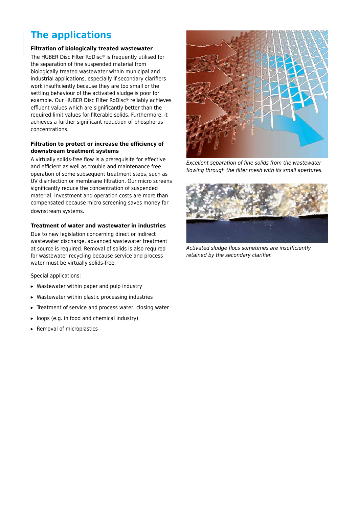## **The applications**

#### **Filtration of biologically treated wastewater**

The HUBER Disc Filter RoDisc® is frequently utilised for the separation of fine suspended material from biologically treated wastewater within municipal and industrial applications, especially if secondary clarifiers work insufficiently because they are too small or the settling behaviour of the activated sludge is poor for example. Our HUBER Disc Filter RoDisc® reliably achieves effluent values which are significantly better than the required limit values for filterable solids. Furthermore, it achieves a further significant reduction of phosphorus concentrations.

#### **Filtration to protect or increase the efficiency of downstream treatment systems**

A virtually solids-free flow is a prerequisite for effective and efficient as well as trouble and maintenance free operation of some subsequent treatment steps, such as UV disinfection or membrane filtration. Our micro screens significantly reduce the concentration of suspended material. Investment and operation costs are more than compensated because micro screening saves money for downstream systems.

#### **Treatment of water and wastewater in industries**

Due to new legislation concerning direct or indirect wastewater discharge, advanced wastewater treatment at source is required. Removal of solids is also required for wastewater recycling because service and process water must be virtually solids-free.

Special applications:

- ▸ Wastewater within paper and pulp industry
- ▸ Wastewater within plastic processing industries
- ▸ Treatment of service and process water, closing water
- ▸ loops (e.g. in food and chemical industry)
- ▸ Removal of microplastics



Excellent separation of fine solids from the wastewater flowing through the filter mesh with its small apertures.



Activated sludge flocs sometimes are insufficiently retained by the secondary clarifier.